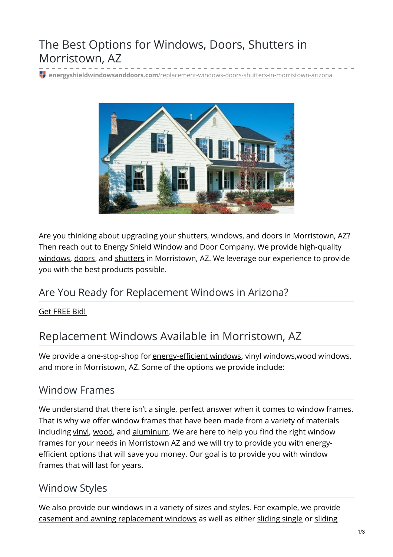# The Best Options for Windows, Doors, Shutters in Morristown, AZ

**energyshieldwindowsanddoors.com**[/replacement-windows-doors-shutters-in-morristown-arizona](https://energyshieldwindowsanddoors.com/replacement-windows-doors-shutters-in-morristown-arizona/)



Are you thinking about upgrading your shutters, windows, and doors in Morristown, AZ? Then reach out to Energy Shield Window and Door Company. We provide high-quality [windows](https://energyshieldwindowsanddoors.com/replacement-windows/), [doors](https://energyshieldwindowsanddoors.com/door-replacement-arizona/), and [shutters](https://energyshieldwindowsanddoors.com/plantation-shutter-installation-in-arizona/) in Morristown, AZ. We leverage our experience to provide you with the best products possible.

### Are You Ready for Replacement Windows in Arizona?

Get [FREE](tel:+1-6233497120) Bid!

### Replacement Windows Available in Morristown, AZ

We provide a one-stop-shop for [energy-efficient](https://energyshieldwindowsanddoors.com/replacement-windows/) windows, vinyl windows, wood windows, and more in Morristown, AZ. Some of the options we provide include:

#### Window Frames

We understand that there isn't a single, perfect answer when it comes to window frames. That is why we offer window frames that have been made from a variety of materials including [vinyl](https://energyshieldwindowsanddoors.com/vinyl-windows-arizona/), [wood](https://energyshieldwindowsanddoors.com/wood-clad-windows/), and [aluminum](https://energyshieldwindowsanddoors.com/aluminum-windows/). We are here to help you find the right window frames for your needs in Morristown AZ and we will try to provide you with energyefficient options that will save you money. Our goal is to provide you with window frames that will last for years.

### Window Styles

We also provide our windows in a variety of sizes and styles. For example, we provide casement and awning [replacement](https://energyshieldwindowsanddoors.com/casement-and-awning-windows/) windows as well as either [sliding](https://energyshieldwindowsanddoors.com/single-sliding-windows/) single or sliding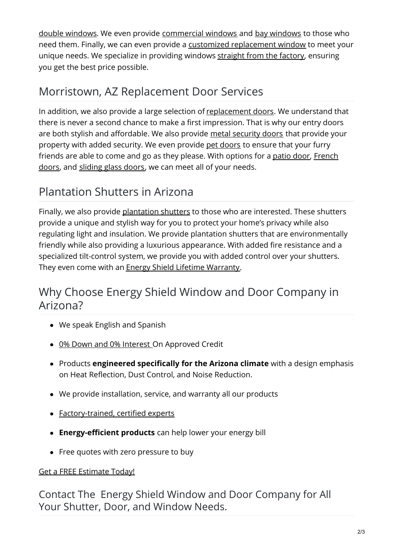double windows. We even provide [commercial](https://energyshieldwindowsanddoors.com/arizona-commercial-windows/) windows and bay [windows](https://energyshieldwindowsanddoors.com/bay-and-bow-windows/) to those who need them. Finally, we can even provide a customized [replacement](https://energyshieldwindowsanddoors.com/picture-window-and-custom-shapes/) window to meet your unique needs. We specialize in providing windows [straight](https://energyshieldwindowsanddoors.com/factory-direct-windows-doors-arizona/) from the factory, ensuring you get the best price possible.

## Morristown, AZ Replacement Door Services

In addition, we also provide a large selection of [replacement](https://energyshieldwindowsanddoors.com/door-replacement-arizona/) doors. We understand that there is never a second chance to make a first impression. That is why our entry doors are both stylish and affordable. We also provide metal [security](https://energyshieldwindowsanddoors.com/security-doors/) doors that provide your property with added security. We even provide pet [doors](https://energyshieldwindowsanddoors.com/pet-door-installer-in-arizona/) to ensure that your furry friends are able to come and go as they please. With [options](https://energyshieldwindowsanddoors.com/exterior-french-door-installation-arizona/) for a [patio](https://energyshieldwindowsanddoors.com/patio-doors-arizona/) door, French doors, and [sliding](https://energyshieldwindowsanddoors.com/vinyl-sliding-glass-doors/) glass doors, we can meet all of your needs.

## Plantation Shutters in Arizona

Finally, we also provide [plantation](https://energyshieldwindowsanddoors.com/plantation-shutter-installation-in-arizona/) shutters to those who are interested. These shutters provide a unique and stylish way for you to protect your home's privacy while also regulating light and insulation. We provide plantation shutters that are environmentally friendly while also providing a luxurious appearance. With added fire resistance and a specialized tilt-control system, we provide you with added control over your shutters. They even come with an **Energy Shield Lifetime [Warranty](https://energyshieldwindowsanddoors.com/0-financing-windows-doors-arizona/)**.

## Why Choose Energy Shield Window and Door Company in Arizona?

- We speak English and Spanish
- 0% Down and 0% [Interest](https://energyshieldwindowsanddoors.com/0-financing-windows-doors-arizona/) On Approved Credit
- Products **engineered specifically for the Arizona climate** with a design emphasis on Heat Reflection, Dust Control, and Noise Reduction.
- We provide installation, service, and warranty all our products
- [Factory-trained,](https://energyshieldwindowsanddoors.com/energy-shield-professional-certifications/) certified experts
- **Energy-efficient products** can help lower your energy bill
- Free quotes with zero pressure to buy

#### Get a FREE [Estimate](https://energyshieldwindowsanddoors.com/contact/) Today!

Contact The Energy Shield Window and Door Company for All Your Shutter, Door, and Window Needs.